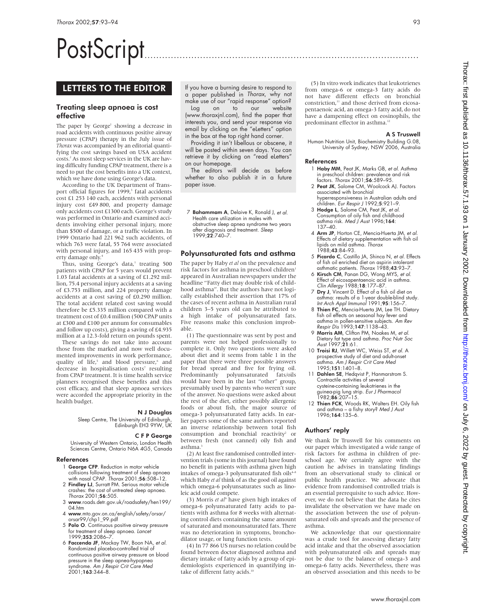# PostScript..............................................................................................

# LETTERS TO THE EDITOR

## Treating sleep apnoea is cost effective

The paper by George<sup>1</sup> showing a decrease in road accidents with continuous positive airway pressure (CPAP) therapy in the July issue of *Thorax* was accompanied by an editorial quantifying the cost savings based on USA accident costs.2 As most sleep services in the UK are having difficulty funding CPAP treatment, there is a need to put the cost benefits into a UK context, which we have done using George's data.

According to the UK Department of Transport official figures for 1999,<sup>3</sup> fatal accidents cost £1 253 140 each, accidents with personal injury cost £49 800, and property damage only accidents cost £1300 each. George's study was performed in Ontario and examined accidents involving either personal injury, more than \$500 of damage, or a traffic violation. In 1999 Ontario had 221 962 such accidents, of which 763 were fatal, 55 764 were associated with personal injury, and 165 435 with property damage only.4

Thus, using George's data, $^1$  treating 500 patients with CPAP for 5 years would prevent 1.03 fatal accidents at a saving of £1.292 million, 75.4 personal injury accidents at a saving of £3.753 million, and 224 property damage accidents at a cost saving of £0.290 million. The total accident related cost saving would therefore be £5.335 million compared with a treatment cost of £0.4 million (500 CPAP units at £300 and £100 per annum for consumables and follow up costs), giving a saving of £4.935 million at a 12.3-fold return on pounds spent.

These savings do not take into account those from the marked and now well documented improvements in work performance, quality of life,<sup>5</sup> and blood pressure,<sup>6</sup> and decrease in hospitalisation costs<sup>7</sup> resulting from CPAP treatment. It is time health service planners recognised these benefits and this cost efficacy, and that sleep apnoea services were accorded the appropriate priority in the health budget.

#### N J Douglas

Sleep Centre, The University of Edinburgh, Edinburgh EH3 9YW, UK

## C F P George

University of Western Ontario, London Health Sciences Centre, Ontario N6A 4G5, Canada

## References

- 1 George CFP. Reduction in motor vehicle collisions following treatment of sleep apnoea with nasal CPAP. Thorax 2001;56:508–12.
- 2 Findley LJ, Surratt PM. Serious motor vehicle crashes: the cost of untreated sleep apnoea. Thorax 2001;56:505.
- 3 www.roads.detr.gov.uk/roadsafety/hen199/  $04$  htm
- 4 www.mto.gov.on.ca/english/safety/orsar/ orsar99/chp1\_99.pdf
- 5 Polo O. Continuous positive airway pressure for treatment of sleep apnoea. Lancet 1999;353:2086–7.
- 6 Faccenda JF, Mackay TW, Boon NA, et al. Randomized placebo-controlled trial of continuous positive airway pressure on blood pressure in the sleep apnea-hypopnea syndrome. Am J Respir Crit Care Med 2001;163:344–8.

If you have a burning desire to respond to a paper published in Thorax, why not make use of our "rapid response" option?<br>Log on to our website on to our website (www.thoraxjnl.com), find the paper that interests you, and send your response via email by clicking on the "eLetters" option in the box at the top right hand corner.

Providing it isn't libellous or obscene, it will be posted within seven days. You can retrieve it by clicking on "read eLetters" on our homepage.

The editors will decide as before whether to also publish it in a future paper issue.

7 Bahammam A, Delaive K, Ronald J, et al. Health care utilization in males with obstructive sleep apnea syndrome two years after diagnosis and treatment. Sleep 1999;22:740–7.

## Polyunsaturated fats and asthma

The paper by Haby *et al* on the prevalence and risk factors for asthma in preschool children<sup>1</sup> appeared in Australian newspapers under the headline "Fatty diet may double risk of childhood asthma". But the authors have not logically established their assertion that 17% of the cases of recent asthma in Australian rural children 3–5 years old can be attributed to a high intake of polyunsaturated fats. Five reasons make this conclusion improbable.

(1) The questionnaire was sent by post and parents were not helped professionally to complete it. Only two questions were asked about diet and it seems from table 1 in the paper that there were three possible answers for bread spread and five for frying oil. Predominantly polyunsaturated fats/oils would have been in the last "other" group, presumably used by parents who weren't sure of the answer. No questions were asked about the rest of the diet, either possibly allergenic foods or about fish, the major source of omega-3 polyunsaturated fatty acids. In earlier papers some of the same authors reported an inverse relationship between total fish consumption and bronchial reactivity<sup>2</sup> or between fresh (not canned) oily fish and asthma.

(2) At least five randomised controlled intervention trials (some in this journal) have found no benefit in patients with asthma given high intakes of omega-3 polyunsaturated fish oils<sup>4-8</sup> which Haby *et al* think of as the good oil against which omega-6 polyunsaturates such as linoleic acid could compete.

(3) Morris *et al*<sup>9</sup> have given high intakes of omega-6 polyunsaturated fatty acids to patients with asthma for 8 weeks with alternating control diets containing the same amount of saturated and monounsaturated fats. There was no deterioration in symptoms, bronchodilator usage, or lung function tests.

(4) In 77 866 US nurses no relation could be found between doctor diagnosed asthma and dietary intake of fatty acids by a group of epidemiologists experienced in quantifying intake of different fatty acids.<sup>10</sup>

(5) In vitro work indicates that leukotrienes from omega-6 or omega-3 fatty acids do not have different effects on bronchial constriction,<sup>11</sup> and those derived from eicosapentaenoic acid, an omega-3 fatty acid, do not have a dampening effect on eosinophils, the predominant effector in asthma.<sup>12</sup>

## A S Truswell

Human Nutrition Unit, Biochemistry Building G.08, University of Sydney, NSW 2006, Australia

## References

- 1 Haby MM, Peat JK, Marks GB, et al. Asthma in preschool children: prevalence and risk factors. Thorax 2001;56:589–95.
- 2 Peat JK, Salome CM, Woolcock AJ. Factors associated with bronchial hyperresponsiveness in Australian adults and children. Eur Respir J 1992;5:921–9.
- 3 Hodge L, Salome CM, Peat JK, et al. Consumption of oily fish and childhood asthma risk. Med J Aust 1996;164: 137–40.
- 4 Arm JP, Horton CE, Mencia-Huerta JM, et al. Effects of dietary supplementation with fish oil<br>lipids on mild asthma. *Thorax* 1988;43:84–93.
- 5 Picardo C, Castillo JA, Shinca N, et al. Effects of fish oil enriched diet on aspirin intolerant
- asthmatic patients. Thorax 1988;43:93–7. 6 Kirsch CM, Panan DG, Wong MYS, et al. Effect of eicosapentaenoic acid in asthma. Clin Allergy 1988;18:177–87.
- 7 Dry J, Vincent D. Effect of a fish oil diet on asthma: results of a 1-year double-blind study. Int Arch Appl Immunol 1991;95:156–7.
- 8 Thien FC, Mencia-Huerta JM, Lee TH. Dietary fish oil effects on seasonal hay fever and asthma in pollen-sensitive subjects. *Am Rev*<br>*Respir Dis* 1993;**147**:1138–43.
- 9 Morris AM, Clifton PM, Noakes M, et al. Dietary fat type and asthma. Proc Nutr Soc A*ust* 1997;**21**:61.
- 10 Troisi RJ, Willett WC, Weiss ST, et al. A prospective study of diet and adult-onset asthma. Am J Respir Crit Care Med 1995;151:1401–8.
- 11 Dahlen SE, Hedqvist P, Hanmarstrom S. Contractile activities of several cysteine-containing leukotrienes in the guinea-pig lung strip. *Eur J Pharmacol*<br>1982;**86**:207–15.
- 12 Thien FCK, Woods RK, Walters EH. Oily fish and asthma – a fishy story? Med J Aust 1996;164:135–6.

## Authors' reply

We thank Dr Truswell for his comments on our paper which investigated a wide range of risk factors for asthma in children of preschool age. We certainly agree with the caution he advises in translating findings from an observational study to clinical or public health practice. We advocate that evidence from randomised controlled trials is an essential prerequisite to such advice. However, we do not believe that the data he cites invalidate the observation we have made on the association between the use of polyunsaturated oils and spreads and the presence of asthma.

We acknowledge that our questionnaire was a crude tool for assessing dietary fatty acid intake and that the observed association with polyunsaturated oils and spreads may not be due to the balance of omega-3 and omega-6 fatty acids. Nevertheless, there was an observed association and this needs to be